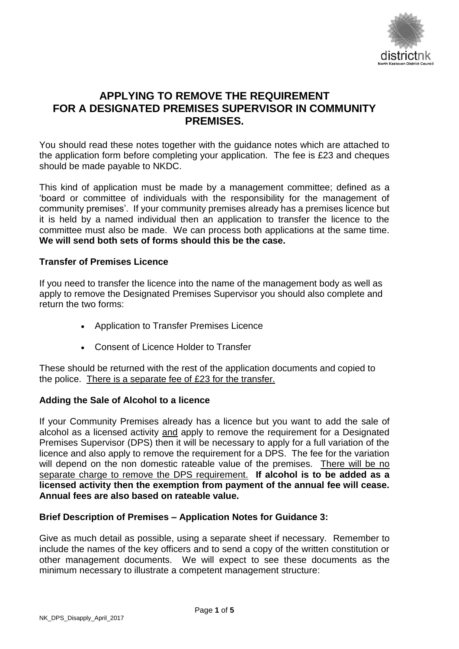

# **APPLYING TO REMOVE THE REQUIREMENT FOR A DESIGNATED PREMISES SUPERVISOR IN COMMUNITY PREMISES.**

You should read these notes together with the guidance notes which are attached to the application form before completing your application. The fee is £23 and cheques should be made payable to NKDC.

This kind of application must be made by a management committee; defined as a 'board or committee of individuals with the responsibility for the management of community premises'. If your community premises already has a premises licence but it is held by a named individual then an application to transfer the licence to the committee must also be made. We can process both applications at the same time. **We will send both sets of forms should this be the case.**

#### **Transfer of Premises Licence**

If you need to transfer the licence into the name of the management body as well as apply to remove the Designated Premises Supervisor you should also complete and return the two forms:

- Application to Transfer Premises Licence
- Consent of Licence Holder to Transfer

These should be returned with the rest of the application documents and copied to the police. There is a separate fee of £23 for the transfer.

#### **Adding the Sale of Alcohol to a licence**

If your Community Premises already has a licence but you want to add the sale of alcohol as a licensed activity and apply to remove the requirement for a Designated Premises Supervisor (DPS) then it will be necessary to apply for a full variation of the licence and also apply to remove the requirement for a DPS. The fee for the variation will depend on the non domestic rateable value of the premises. There will be no separate charge to remove the DPS requirement. **If alcohol is to be added as a licensed activity then the exemption from payment of the annual fee will cease. Annual fees are also based on rateable value.**

#### **Brief Description of Premises – Application Notes for Guidance 3:**

Give as much detail as possible, using a separate sheet if necessary. Remember to include the names of the key officers and to send a copy of the written constitution or other management documents. We will expect to see these documents as the minimum necessary to illustrate a competent management structure: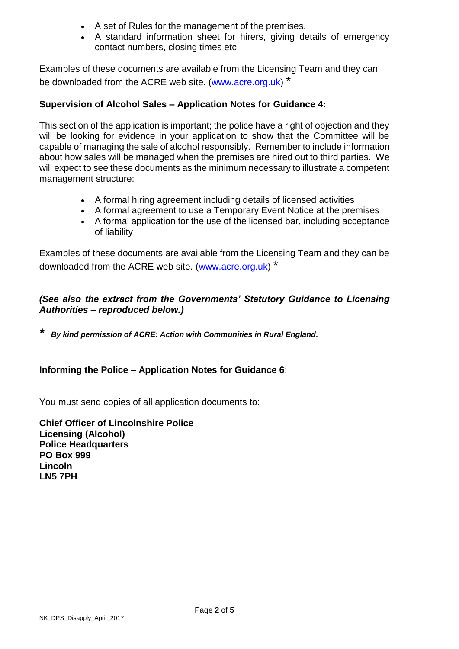- A set of Rules for the management of the premises.
- A standard information sheet for hirers, giving details of emergency contact numbers, closing times etc.

Examples of these documents are available from the Licensing Team and they can be downloaded from the ACRE web site. [\(www.acre.org.uk\)](http://www.acre.org.uk/) \*

## **Supervision of Alcohol Sales – Application Notes for Guidance 4:**

This section of the application is important; the police have a right of objection and they will be looking for evidence in your application to show that the Committee will be capable of managing the sale of alcohol responsibly. Remember to include information about how sales will be managed when the premises are hired out to third parties. We will expect to see these documents as the minimum necessary to illustrate a competent management structure:

- A formal hiring agreement including details of licensed activities
- A formal agreement to use a Temporary Event Notice at the premises
- A formal application for the use of the licensed bar, including acceptance of liability

Examples of these documents are available from the Licensing Team and they can be downloaded from the ACRE web site. [\(www.acre.org.uk\)](http://www.acre.org.uk/) \*

## *(See also the extract from the Governments' Statutory Guidance to Licensing Authorities – reproduced below.)*

*\* By kind permission of ACRE: Action with Communities in Rural England.*

## **Informing the Police – Application Notes for Guidance 6**:

You must send copies of all application documents to:

**Chief Officer of Lincolnshire Police Licensing (Alcohol) Police Headquarters PO Box 999 Lincoln LN5 7PH**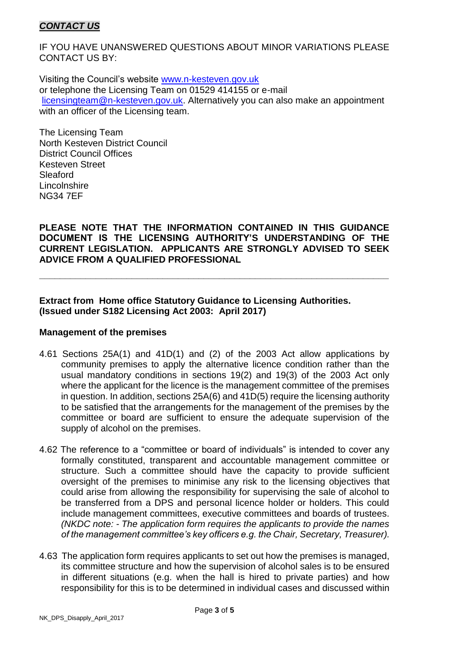## *CONTACT US*

IF YOU HAVE UNANSWERED QUESTIONS ABOUT MINOR VARIATIONS PLEASE CONTACT US BY:

Visiting the Council's website [www.n-kesteven.gov.uk](http://www.n-kesteven.gov.uk/) or telephone the Licensing Team on 01529 414155 or e-mail [licensingteam@n-kesteven.gov.uk.](mailto:licensingteam@n-kesteven.gov.uk) Alternatively you can also make an appointment with an officer of the Licensing team.

The Licensing Team North Kesteven District Council District Council Offices Kesteven Street Sleaford **Lincolnshire** NG34 7EF

**PLEASE NOTE THAT THE INFORMATION CONTAINED IN THIS GUIDANCE DOCUMENT IS THE LICENSING AUTHORITY'S UNDERSTANDING OF THE CURRENT LEGISLATION. APPLICANTS ARE STRONGLY ADVISED TO SEEK ADVICE FROM A QUALIFIED PROFESSIONAL**

**\_\_\_\_\_\_\_\_\_\_\_\_\_\_\_\_\_\_\_\_\_\_\_\_\_\_\_\_\_\_\_\_\_\_\_\_\_\_\_\_\_\_\_\_\_\_\_\_\_\_\_\_\_\_\_\_\_\_\_\_\_\_\_\_\_\_\_\_**

#### **Extract from Home office Statutory Guidance to Licensing Authorities. (Issued under S182 Licensing Act 2003: April 2017)**

#### **Management of the premises**

- 4.61 Sections 25A(1) and 41D(1) and (2) of the 2003 Act allow applications by community premises to apply the alternative licence condition rather than the usual mandatory conditions in sections 19(2) and 19(3) of the 2003 Act only where the applicant for the licence is the management committee of the premises in question. In addition, sections 25A(6) and 41D(5) require the licensing authority to be satisfied that the arrangements for the management of the premises by the committee or board are sufficient to ensure the adequate supervision of the supply of alcohol on the premises.
- 4.62 The reference to a "committee or board of individuals" is intended to cover any formally constituted, transparent and accountable management committee or structure. Such a committee should have the capacity to provide sufficient oversight of the premises to minimise any risk to the licensing objectives that could arise from allowing the responsibility for supervising the sale of alcohol to be transferred from a DPS and personal licence holder or holders. This could include management committees, executive committees and boards of trustees. *(NKDC note: - The application form requires the applicants to provide the names of the management committee's key officers e.g. the Chair, Secretary, Treasurer).*
- 4.63 The application form requires applicants to set out how the premises is managed, its committee structure and how the supervision of alcohol sales is to be ensured in different situations (e.g. when the hall is hired to private parties) and how responsibility for this is to be determined in individual cases and discussed within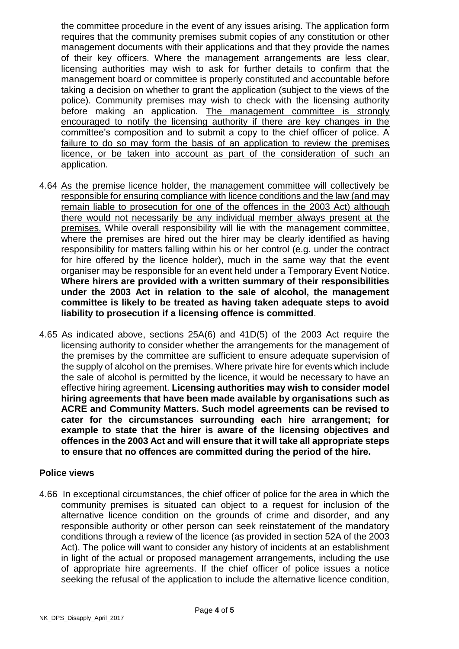the committee procedure in the event of any issues arising. The application form requires that the community premises submit copies of any constitution or other management documents with their applications and that they provide the names of their key officers. Where the management arrangements are less clear, licensing authorities may wish to ask for further details to confirm that the management board or committee is properly constituted and accountable before taking a decision on whether to grant the application (subject to the views of the police). Community premises may wish to check with the licensing authority before making an application. The management committee is strongly encouraged to notify the licensing authority if there are key changes in the committee's composition and to submit a copy to the chief officer of police. A failure to do so may form the basis of an application to review the premises licence, or be taken into account as part of the consideration of such an application.

- 4.64 As the premise licence holder, the management committee will collectively be responsible for ensuring compliance with licence conditions and the law (and may remain liable to prosecution for one of the offences in the 2003 Act) although there would not necessarily be any individual member always present at the premises. While overall responsibility will lie with the management committee, where the premises are hired out the hirer may be clearly identified as having responsibility for matters falling within his or her control (e.g. under the contract for hire offered by the licence holder), much in the same way that the event organiser may be responsible for an event held under a Temporary Event Notice. **Where hirers are provided with a written summary of their responsibilities under the 2003 Act in relation to the sale of alcohol, the management committee is likely to be treated as having taken adequate steps to avoid liability to prosecution if a licensing offence is committed**.
- 4.65 As indicated above, sections 25A(6) and 41D(5) of the 2003 Act require the licensing authority to consider whether the arrangements for the management of the premises by the committee are sufficient to ensure adequate supervision of the supply of alcohol on the premises. Where private hire for events which include the sale of alcohol is permitted by the licence, it would be necessary to have an effective hiring agreement. **Licensing authorities may wish to consider model hiring agreements that have been made available by organisations such as ACRE and Community Matters. Such model agreements can be revised to cater for the circumstances surrounding each hire arrangement; for example to state that the hirer is aware of the licensing objectives and offences in the 2003 Act and will ensure that it will take all appropriate steps to ensure that no offences are committed during the period of the hire.**

#### **Police views**

4.66 In exceptional circumstances, the chief officer of police for the area in which the community premises is situated can object to a request for inclusion of the alternative licence condition on the grounds of crime and disorder, and any responsible authority or other person can seek reinstatement of the mandatory conditions through a review of the licence (as provided in section 52A of the 2003 Act). The police will want to consider any history of incidents at an establishment in light of the actual or proposed management arrangements, including the use of appropriate hire agreements. If the chief officer of police issues a notice seeking the refusal of the application to include the alternative licence condition,